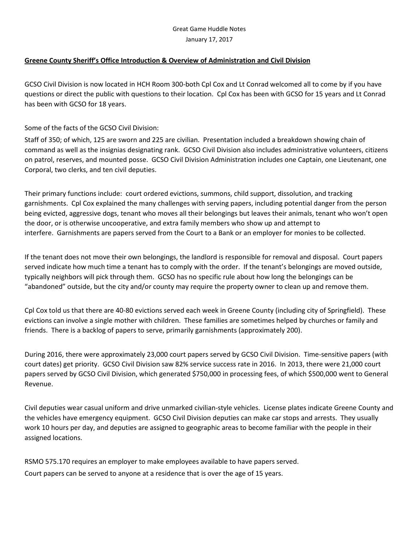## Great Game Huddle Notes January 17, 2017

## **Greene County Sheriff's Office Introduction & Overview of Administration and Civil Division**

GCSO Civil Division is now located in HCH Room 300-both Cpl Cox and Lt Conrad welcomed all to come by if you have questions or direct the public with questions to their location. Cpl Cox has been with GCSO for 15 years and Lt Conrad has been with GCSO for 18 years.

Some of the facts of the GCSO Civil Division:

Staff of 350; of which, 125 are sworn and 225 are civilian. Presentation included a breakdown showing chain of command as well as the insignias designating rank. GCSO Civil Division also includes administrative volunteers, citizens on patrol, reserves, and mounted posse. GCSO Civil Division Administration includes one Captain, one Lieutenant, one Corporal, two clerks, and ten civil deputies.

Their primary functions include: court ordered evictions, summons, child support, dissolution, and tracking garnishments. Cpl Cox explained the many challenges with serving papers, including potential danger from the person being evicted, aggressive dogs, tenant who moves all their belongings but leaves their animals, tenant who won't open the door, or is otherwise uncooperative, and extra family members who show up and attempt to interfere. Garnishments are papers served from the Court to a Bank or an employer for monies to be collected.

If the tenant does not move their own belongings, the landlord is responsible for removal and disposal. Court papers served indicate how much time a tenant has to comply with the order. If the tenant's belongings are moved outside, typically neighbors will pick through them. GCSO has no specific rule about how long the belongings can be "abandoned" outside, but the city and/or county may require the property owner to clean up and remove them.

Cpl Cox told us that there are 40-80 evictions served each week in Greene County (including city of Springfield). These evictions can involve a single mother with children. These families are sometimes helped by churches or family and friends. There is a backlog of papers to serve, primarily garnishments (approximately 200).

During 2016, there were approximately 23,000 court papers served by GCSO Civil Division. Time-sensitive papers (with court dates) get priority. GCSO Civil Division saw 82% service success rate in 2016. In 2013, there were 21,000 court papers served by GCSO Civil Division, which generated \$750,000 in processing fees, of which \$500,000 went to General Revenue.

Civil deputies wear casual uniform and drive unmarked civilian-style vehicles. License plates indicate Greene County and the vehicles have emergency equipment. GCSO Civil Division deputies can make car stops and arrests. They usually work 10 hours per day, and deputies are assigned to geographic areas to become familiar with the people in their assigned locations.

RSMO 575.170 requires an employer to make employees available to have papers served. Court papers can be served to anyone at a residence that is over the age of 15 years.